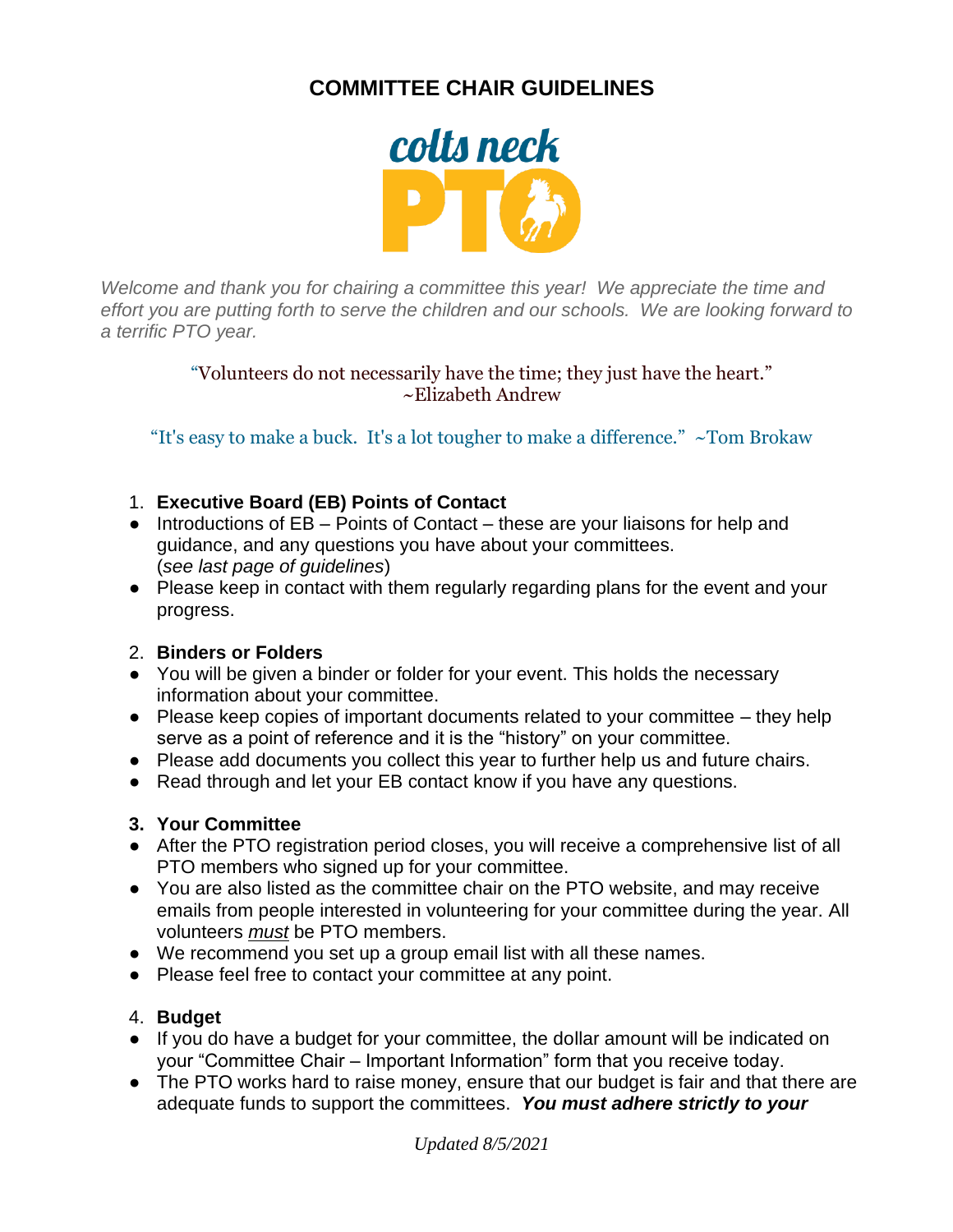# **COMMITTEE CHAIR GUIDELINES**



*Welcome and thank you for chairing a committee this year! We appreciate the time and effort you are putting forth to serve the children and our schools. We are looking forward to a terrific PTO year.*

> "Volunteers do not necessarily have the time; they just have the heart." ~Elizabeth Andrew

"It's easy to make a buck. It's a lot tougher to make a difference."  $\sim$ Tom Brokaw

## 1. **Executive Board (EB) Points of Contact**

- Introductions of EB Points of Contact these are your liaisons for help and guidance, and any questions you have about your committees. (*see last page of guidelines*)
- Please keep in contact with them regularly regarding plans for the event and your progress.

## 2. **Binders or Folders**

- You will be given a binder or folder for your event. This holds the necessary information about your committee.
- Please keep copies of important documents related to your committee they help serve as a point of reference and it is the "history" on your committee.
- Please add documents you collect this year to further help us and future chairs.
- Read through and let your EB contact know if you have any questions.

## **3. Your Committee**

- After the PTO registration period closes, you will receive a comprehensive list of all PTO members who signed up for your committee.
- You are also listed as the committee chair on the PTO website, and may receive emails from people interested in volunteering for your committee during the year. All volunteers *must* be PTO members.
- We recommend you set up a group email list with all these names.
- Please feel free to contact your committee at any point.

## 4. **Budget**

- If you do have a budget for your committee, the dollar amount will be indicated on your "Committee Chair – Important Information" form that you receive today.
- The PTO works hard to raise money, ensure that our budget is fair and that there are adequate funds to support the committees. *You must adhere strictly to your*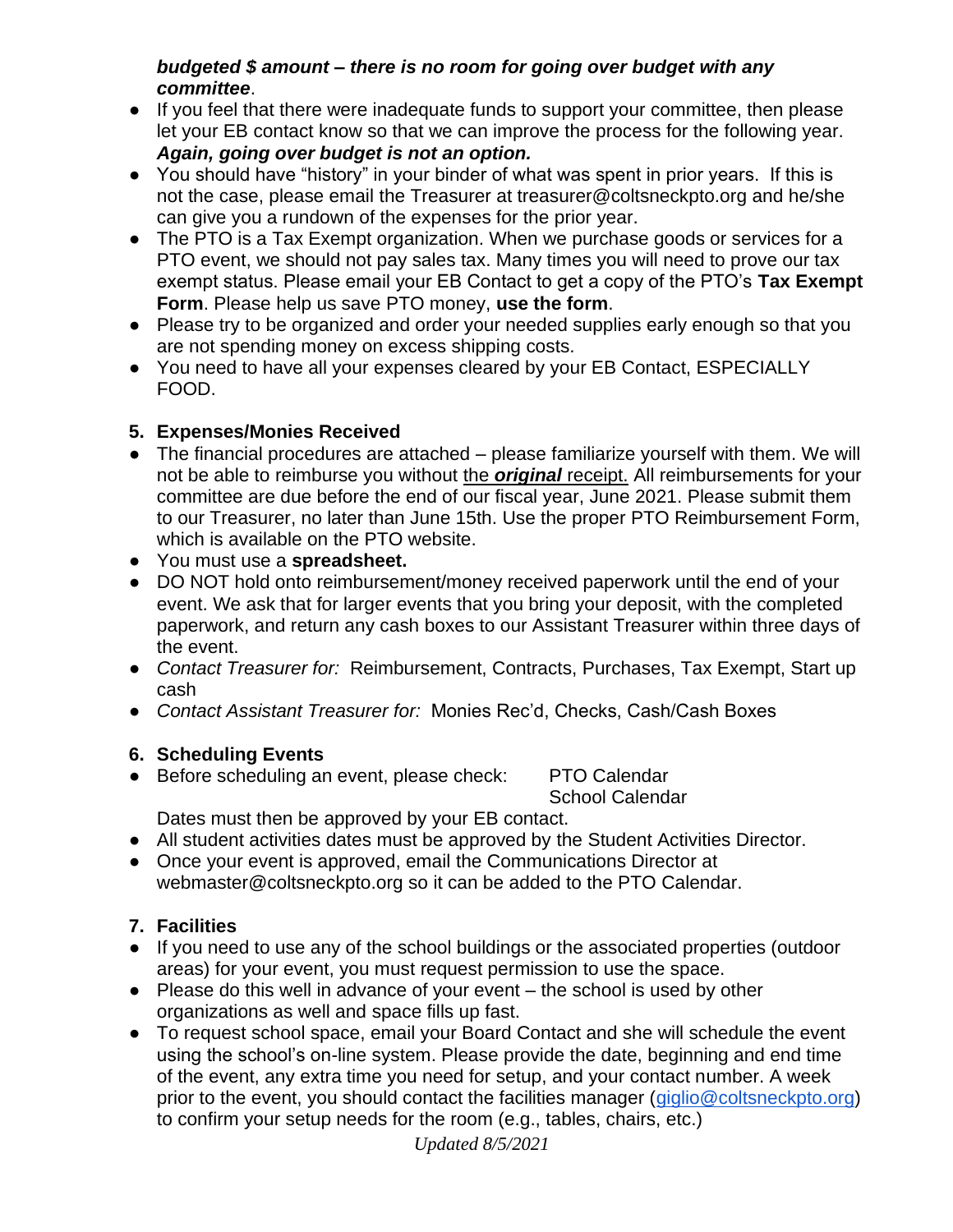## *budgeted \$ amount – there is no room for going over budget with any committee*.

- If you feel that there were inadequate funds to support your committee, then please let your EB contact know so that we can improve the process for the following year. *Again, going over budget is not an option.*
- You should have "history" in your binder of what was spent in prior years. If this is not the case, please email the Treasurer at treasurer@coltsneckpto.org and he/she can give you a rundown of the expenses for the prior year.
- The PTO is a Tax Exempt organization. When we purchase goods or services for a PTO event, we should not pay sales tax. Many times you will need to prove our tax exempt status. Please email your EB Contact to get a copy of the PTO's **Tax Exempt Form**. Please help us save PTO money, **use the form**.
- Please try to be organized and order your needed supplies early enough so that you are not spending money on excess shipping costs.
- You need to have all your expenses cleared by your EB Contact, ESPECIALLY FOOD.

## **5. Expenses/Monies Received**

- The financial procedures are attached please familiarize yourself with them. We will not be able to reimburse you without the *original* receipt. All reimbursements for your committee are due before the end of our fiscal year, June 2021. Please submit them to our Treasurer, no later than June 15th. Use the proper PTO Reimbursement Form, which is available on the PTO website.
- You must use a **spreadsheet.**
- DO NOT hold onto reimbursement/money received paperwork until the end of your event. We ask that for larger events that you bring your deposit, with the completed paperwork, and return any cash boxes to our Assistant Treasurer within three days of the event.
- *Contact Treasurer for:* Reimbursement, Contracts, Purchases, Tax Exempt, Start up cash
- *Contact Assistant Treasurer for:* Monies Rec'd, Checks, Cash/Cash Boxes

## **6. Scheduling Events**

● Before scheduling an event, please check: PTO Calendar

School Calendar

Dates must then be approved by your EB contact.

- All student activities dates must be approved by the Student Activities Director.
- Once your event is approved, email the Communications Director at webmaster@coltsneckpto.org so it can be added to the PTO Calendar.

## **7. Facilities**

- If you need to use any of the school buildings or the associated properties (outdoor areas) for your event, you must request permission to use the space.
- Please do this well in advance of your event the school is used by other organizations as well and space fills up fast.
- To request school space, email your Board Contact and she will schedule the event using the school's on-line system. Please provide the date, beginning and end time of the event, any extra time you need for setup, and your contact number. A week prior to the event, you should contact the facilities manager [\(giglio@coltsneckpto.org\)](mailto:giglio@coltsneckpto.org) to confirm your setup needs for the room (e.g., tables, chairs, etc.)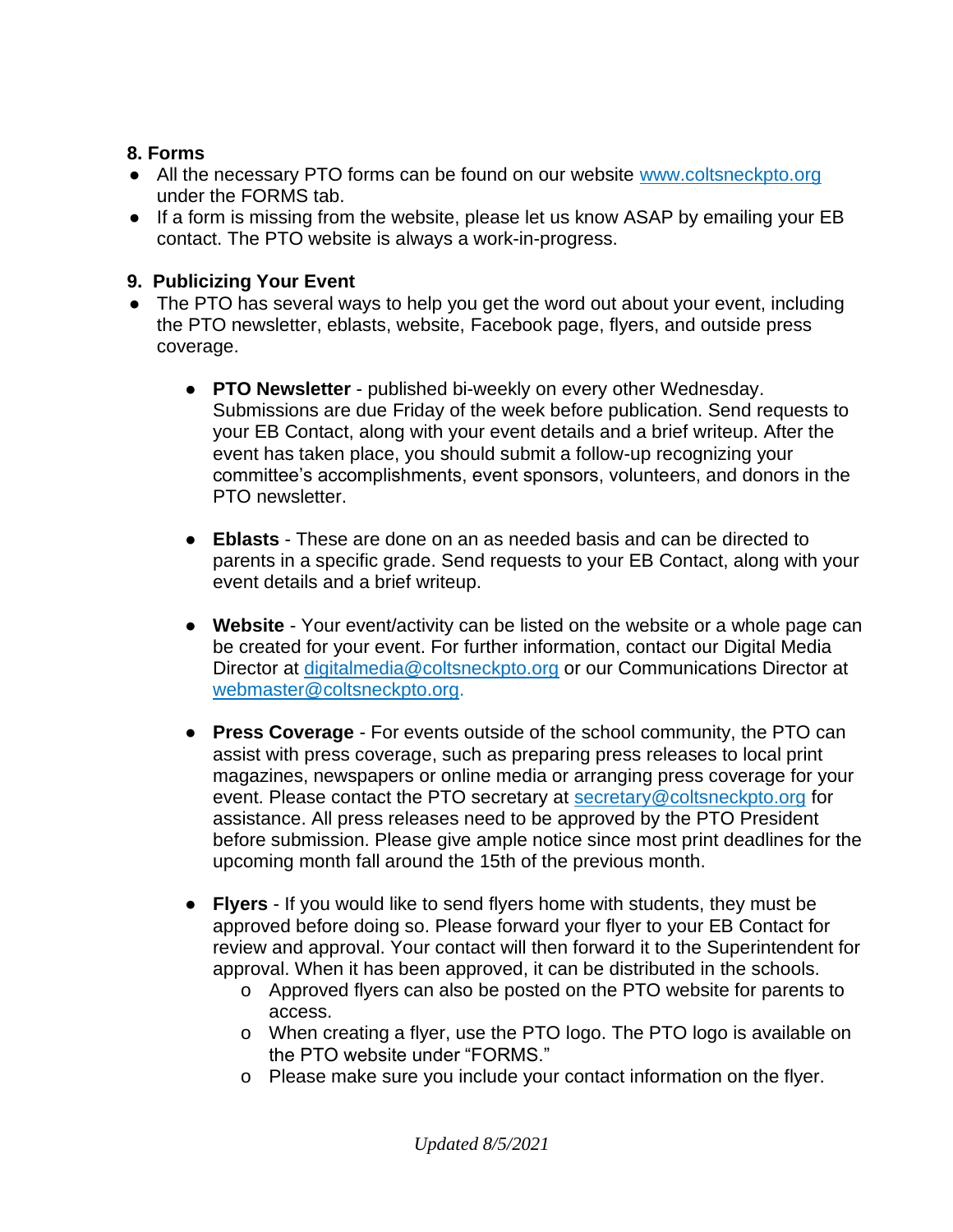## **8. Forms**

- All the necessary PTO forms can be found on our website [www.coltsneckpto.org](http://www.coltsneckpto.org/) under the FORMS tab.
- If a form is missing from the website, please let us know ASAP by emailing your EB contact. The PTO website is always a work-in-progress.

## **9. Publicizing Your Event**

- The PTO has several ways to help you get the word out about your event, including the PTO newsletter, eblasts, website, Facebook page, flyers, and outside press coverage.
	- **PTO Newsletter** published bi-weekly on every other Wednesday. Submissions are due Friday of the week before publication. Send requests to your EB Contact, along with your event details and a brief writeup. After the event has taken place, you should submit a follow-up recognizing your committee's accomplishments, event sponsors, volunteers, and donors in the PTO newsletter.
	- **Eblasts** These are done on an as needed basis and can be directed to parents in a specific grade. Send requests to your EB Contact, along with your event details and a brief writeup.
	- **Website** Your event/activity can be listed on the website or a whole page can be created for your event. For further information, contact our Digital Media Director at [digitalmedia@coltsneckpto.org](mailto:digitalmedia@coltsneckpto.org) or our Communications Director at [webmaster@coltsneckpto.org.](mailto:webmaster@coltsneckpto.org)
	- **Press Coverage** For events outside of the school community, the PTO can assist with press coverage, such as preparing press releases to local print magazines, newspapers or online media or arranging press coverage for your event. Please contact the PTO secretary at [secretary@coltsneckpto.org](mailto:secretary@coltsneckpto.org) for assistance. All press releases need to be approved by the PTO President before submission. Please give ample notice since most print deadlines for the upcoming month fall around the 15th of the previous month.
	- **Flyers** If you would like to send flyers home with students, they must be approved before doing so. Please forward your flyer to your EB Contact for review and approval. Your contact will then forward it to the Superintendent for approval. When it has been approved, it can be distributed in the schools.
		- o Approved flyers can also be posted on the PTO website for parents to access.
		- o When creating a flyer, use the PTO logo. The PTO logo is available on the PTO website under "FORMS."
		- o Please make sure you include your contact information on the flyer.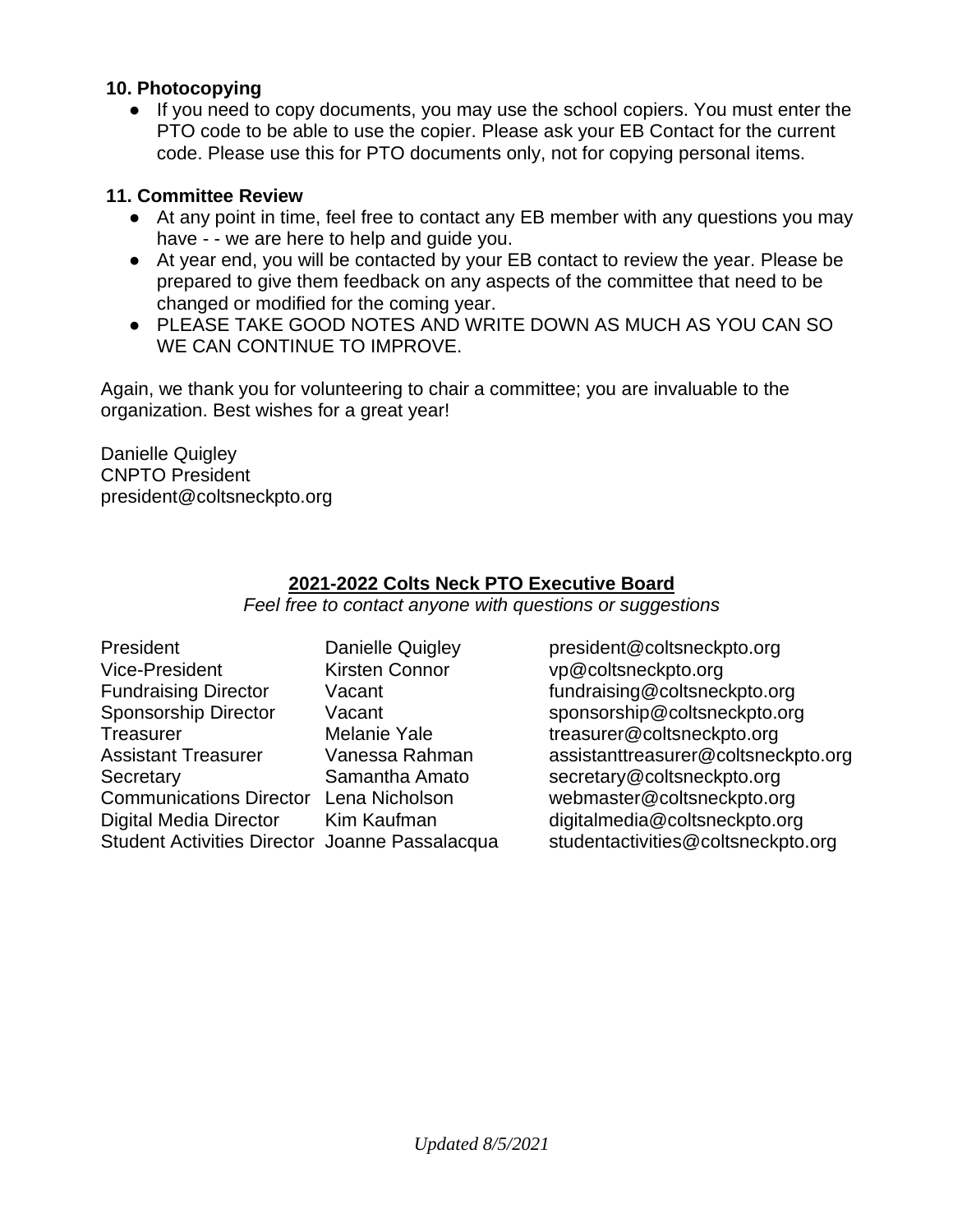#### **10. Photocopying**

● If you need to copy documents, you may use the school copiers. You must enter the PTO code to be able to use the copier. Please ask your EB Contact for the current code. Please use this for PTO documents only, not for copying personal items.

#### **11. Committee Review**

- At any point in time, feel free to contact any EB member with any questions you may have  $-$  - we are here to help and guide you.
- At year end, you will be contacted by your EB contact to review the year. Please be prepared to give them feedback on any aspects of the committee that need to be changed or modified for the coming year.
- PLEASE TAKE GOOD NOTES AND WRITE DOWN AS MUCH AS YOU CAN SO WE CAN CONTINUE TO IMPROVE.

Again, we thank you for volunteering to chair a committee; you are invaluable to the organization. Best wishes for a great year!

Danielle Quigley CNPTO President president@coltsneckpto.org

## **2021-2022 Colts Neck PTO Executive Board**

*Feel free to contact anyone with questions or suggestions*

| President                                      | <b>Danielle Quigley</b> |
|------------------------------------------------|-------------------------|
| <b>Vice-President</b>                          | <b>Kirsten Connor</b>   |
| <b>Fundraising Director</b>                    | Vacant                  |
| <b>Sponsorship Director</b>                    | Vacant                  |
| <b>Treasurer</b>                               | <b>Melanie Yale</b>     |
| <b>Assistant Treasurer</b>                     | Vanessa Rahman          |
| Secretary                                      | Samantha Amato          |
| Communications Director Lena Nicholson         |                         |
| <b>Digital Media Director</b>                  | Kim Kaufman             |
| Student Activities Director Joanne Passalacqua |                         |

president@coltsneckpto.org vp@coltsneckpto.org fundraising@coltsneckpto.org sponsorship@coltsneckpto.org treasurer@coltsneckpto.or[g](mailto:Treasurer@coltsneckpto.org) assistant treasurer@coltsneckpto.or[g](mailto:AssistantTreasure@coltsneckpto.org) secretary@coltsneckpto.org webmaster@coltsneckpto.org digital media @coltsneckpto.org a student activities @coltsneckpto.org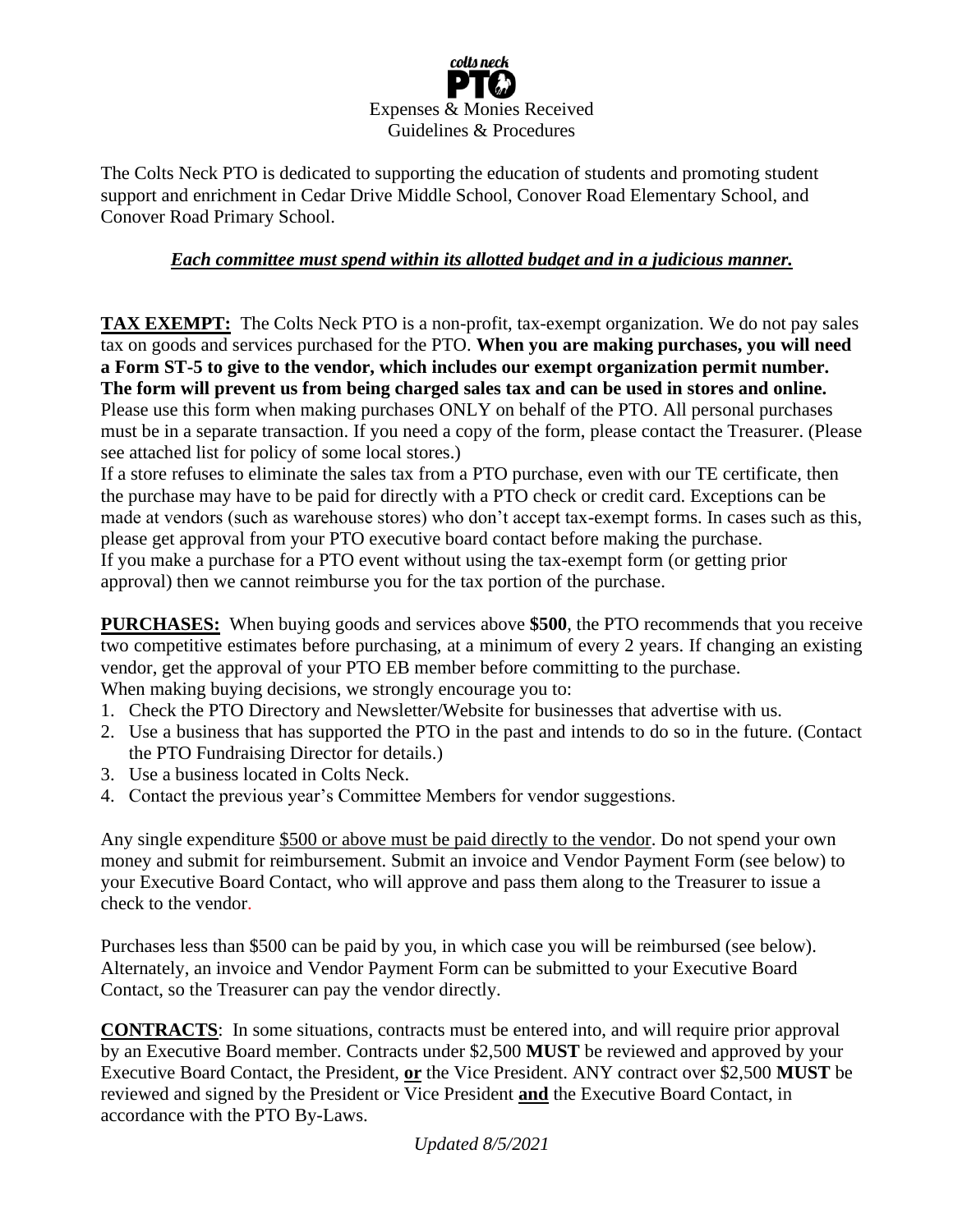

The Colts Neck PTO is dedicated to supporting the education of students and promoting student support and enrichment in Cedar Drive Middle School, Conover Road Elementary School, and Conover Road Primary School.

#### *Each committee must spend within its allotted budget and in a judicious manner.*

**TAX EXEMPT:** The Colts Neck PTO is a non-profit, tax-exempt organization. We do not pay sales tax on goods and services purchased for the PTO. **When you are making purchases, you will need a Form ST-5 to give to the vendor, which includes our exempt organization permit number. The form will prevent us from being charged sales tax and can be used in stores and online.**  Please use this form when making purchases ONLY on behalf of the PTO. All personal purchases must be in a separate transaction. If you need a copy of the form, please contact the Treasurer. (Please see attached list for policy of some local stores.)

If a store refuses to eliminate the sales tax from a PTO purchase, even with our TE certificate, then the purchase may have to be paid for directly with a PTO check or credit card. Exceptions can be made at vendors (such as warehouse stores) who don't accept tax-exempt forms. In cases such as this, please get approval from your PTO executive board contact before making the purchase. If you make a purchase for a PTO event without using the tax-exempt form (or getting prior approval) then we cannot reimburse you for the tax portion of the purchase.

**PURCHASES:** When buying goods and services above **\$500**, the PTO recommends that you receive two competitive estimates before purchasing, at a minimum of every 2 years. If changing an existing vendor, get the approval of your PTO EB member before committing to the purchase. When making buying decisions, we strongly encourage you to:

- 1. Check the PTO Directory and Newsletter/Website for businesses that advertise with us.
- 2. Use a business that has supported the PTO in the past and intends to do so in the future. (Contact the PTO Fundraising Director for details.)
- 3. Use a business located in Colts Neck.
- 4. Contact the previous year's Committee Members for vendor suggestions.

Any single expenditure \$500 or above must be paid directly to the vendor. Do not spend your own money and submit for reimbursement. Submit an invoice and Vendor Payment Form (see below) to your Executive Board Contact, who will approve and pass them along to the Treasurer to issue a check to the vendor.

Purchases less than \$500 can be paid by you, in which case you will be reimbursed (see below). Alternately, an invoice and Vendor Payment Form can be submitted to your Executive Board Contact, so the Treasurer can pay the vendor directly.

**CONTRACTS**: In some situations, contracts must be entered into, and will require prior approval by an Executive Board member. Contracts under \$2,500 **MUST** be reviewed and approved by your Executive Board Contact, the President, **or** the Vice President. ANY contract over \$2,500 **MUST** be reviewed and signed by the President or Vice President **and** the Executive Board Contact, in accordance with the PTO By-Laws.

*Updated 8/5/2021*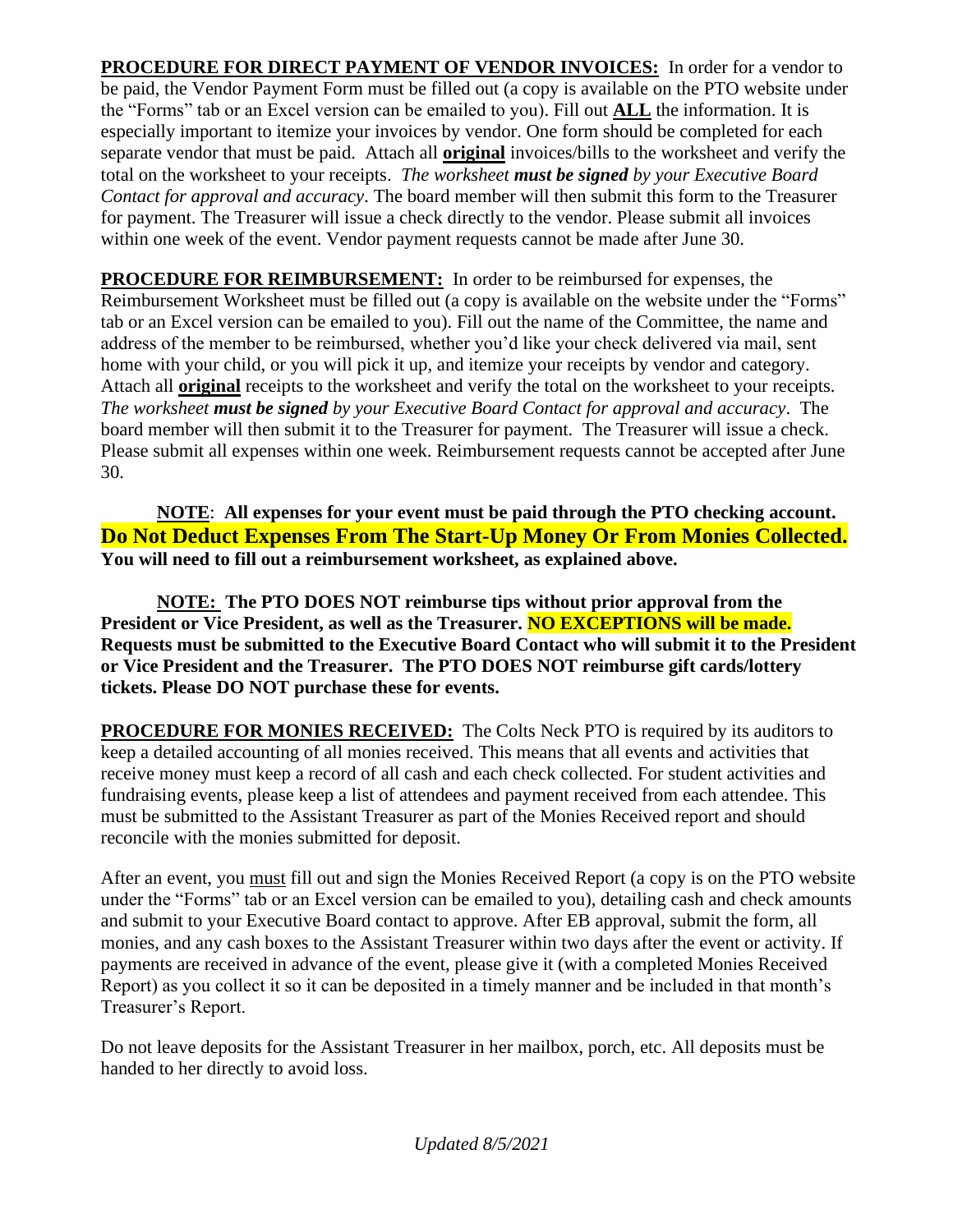**PROCEDURE FOR DIRECT PAYMENT OF VENDOR INVOICES:** In order for a vendor to be paid, the Vendor Payment Form must be filled out (a copy is available on the PTO website under the "Forms" tab or an Excel version can be emailed to you). Fill out **ALL** the information. It is especially important to itemize your invoices by vendor. One form should be completed for each separate vendor that must be paid. Attach all **original** invoices/bills to the worksheet and verify the total on the worksheet to your receipts. *The worksheet must be signed by your Executive Board Contact for approval and accuracy*. The board member will then submit this form to the Treasurer for payment. The Treasurer will issue a check directly to the vendor. Please submit all invoices within one week of the event. Vendor payment requests cannot be made after June 30.

**PROCEDURE FOR REIMBURSEMENT:** In order to be reimbursed for expenses, the Reimbursement Worksheet must be filled out (a copy is available on the website under the "Forms" tab or an Excel version can be emailed to you). Fill out the name of the Committee, the name and address of the member to be reimbursed, whether you'd like your check delivered via mail, sent home with your child, or you will pick it up, and itemize your receipts by vendor and category. Attach all **original** receipts to the worksheet and verify the total on the worksheet to your receipts. *The worksheet must be signed by your Executive Board Contact for approval and accuracy*. The board member will then submit it to the Treasurer for payment. The Treasurer will issue a check. Please submit all expenses within one week. Reimbursement requests cannot be accepted after June 30.

**NOTE**: **All expenses for your event must be paid through the PTO checking account. Do Not Deduct Expenses From The Start-Up Money Or From Monies Collected. You will need to fill out a reimbursement worksheet, as explained above.**

**NOTE: The PTO DOES NOT reimburse tips without prior approval from the President or Vice President, as well as the Treasurer. NO EXCEPTIONS will be made. Requests must be submitted to the Executive Board Contact who will submit it to the President or Vice President and the Treasurer. The PTO DOES NOT reimburse gift cards/lottery tickets. Please DO NOT purchase these for events.** 

**PROCEDURE FOR MONIES RECEIVED:** The Colts Neck PTO is required by its auditors to keep a detailed accounting of all monies received. This means that all events and activities that receive money must keep a record of all cash and each check collected. For student activities and fundraising events, please keep a list of attendees and payment received from each attendee. This must be submitted to the Assistant Treasurer as part of the Monies Received report and should reconcile with the monies submitted for deposit.

After an event, you must fill out and sign the Monies Received Report (a copy is on the PTO website under the "Forms" tab or an Excel version can be emailed to you), detailing cash and check amounts and submit to your Executive Board contact to approve. After EB approval, submit the form, all monies, and any cash boxes to the Assistant Treasurer within two days after the event or activity. If payments are received in advance of the event, please give it (with a completed Monies Received Report) as you collect it so it can be deposited in a timely manner and be included in that month's Treasurer's Report.

Do not leave deposits for the Assistant Treasurer in her mailbox, porch, etc. All deposits must be handed to her directly to avoid loss.